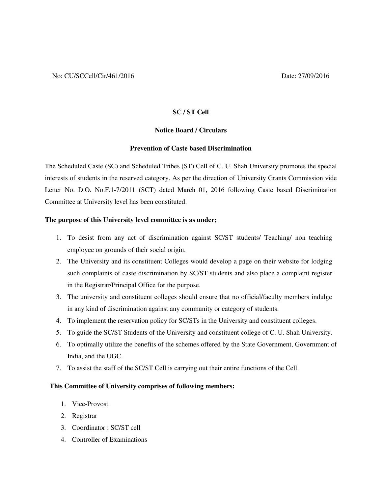# **SC / ST Cell**

### **Notice Board / Circulars**

#### **Prevention of Caste based Discrimination**

The Scheduled Caste (SC) and Scheduled Tribes (ST) Cell of C. U. Shah University promotes the special interests of students in the reserved category. As per the direction of University Grants Commission vide Letter No. D.O. No.F.1-7/2011 (SCT) dated March 01, 2016 following Caste based Discrimination Committee at University level has been constituted.

#### **The purpose of this University level committee is as under;**

- 1. To desist from any act of discrimination against SC/ST students/ Teaching/ non teaching employee on grounds of their social origin.
- 2. The University and its constituent Colleges would develop a page on their website for lodging such complaints of caste discrimination by SC/ST students and also place a complaint register in the Registrar/Principal Office for the purpose.
- 3. The university and constituent colleges should ensure that no official/faculty members indulge in any kind of discrimination against any community or category of students.
- 4. To implement the reservation policy for SC/STs in the University and constituent colleges.
- 5. To guide the SC/ST Students of the University and constituent college of C. U. Shah University.
- 6. To optimally utilize the benefits of the schemes offered by the State Government, Government of India, and the UGC.
- 7. To assist the staff of the SC/ST Cell is carrying out their entire functions of the Cell.

#### **This Committee of University comprises of following members:**

- 1. Vice-Provost
- 2. Registrar
- 3. Coordinator : SC/ST cell
- 4. Controller of Examinations